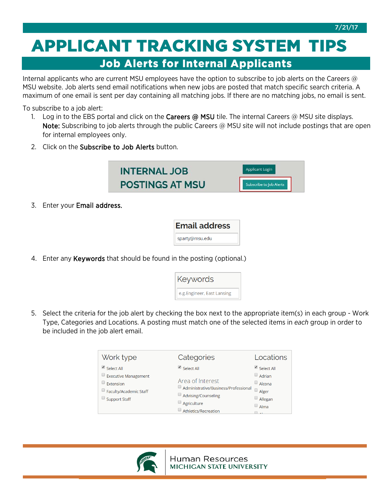7/21/17

## **APPLICANT TRACKING SYSTEM TIPS**  Job Alerts for Internal Applicants

Internal applicants who are current MSU employees have the option to subscribe to job alerts on the Careers @ MSU website. Job alerts send email notifications when new jobs are posted that match specific search criteria. A maximum of one email is sent per day containing all matching jobs. If there are no matching jobs, no email is sent.

To subscribe to a job alert:

- 1. Log in to the EBS portal and click on the Careers @ MSU tile. The internal Careers @ MSU site displays. Note: Subscribing to job alerts through the public Careers @ MSU site will not include postings that are open for internal employees only.
- 2. Click on the Subscribe to Job Alerts button.

| <b>INTERNAL JOB</b>    | Applicant Login         |
|------------------------|-------------------------|
| <b>POSTINGS AT MSU</b> | Subscribe to Job Alerts |
|                        |                         |

3. Enter your Email address.

| <b>Email address</b> |  |
|----------------------|--|
| sparty@msu.edu       |  |

4. Enter any Keywords that should be found in the posting (optional.)

| Keywords                    |
|-----------------------------|
| e.g. Engineer, East Lansing |

5. Select the criteria for the job alert by checking the box next to the appropriate item(s) in each group - Work Type, Categories and Locations. A posting must match one of the selected items in *each* group in order to be included in the job alert email.

| Work type                                                                                         | Categories                                                                                                               | Locations                                                                            |
|---------------------------------------------------------------------------------------------------|--------------------------------------------------------------------------------------------------------------------------|--------------------------------------------------------------------------------------|
| Select All<br>Executive Management<br>$\Box$ Extension<br>Faculty/Academic Staff<br>Support Staff | $\triangle$ Select All<br>Area of Interest<br>Administrative/Business/Professional<br>Advising/Counseling<br>Agriculture | Select All<br>Adrian<br>$\Box$ Alcona<br>u<br>Alger<br>$\Box$ Allegan<br>$\Box$ Alma |
|                                                                                                   | Athletics/Recreation                                                                                                     |                                                                                      |

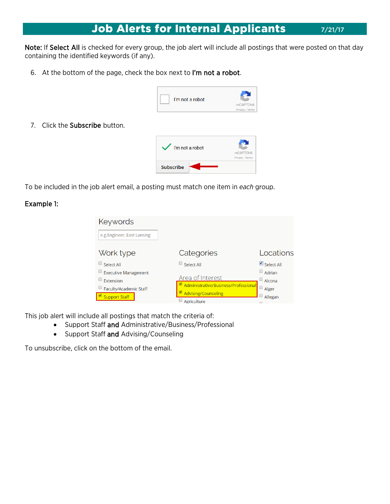## **Job Alerts for Internal Applicants** 7/21/17

Note: If Select All is checked for every group, the job alert will include all postings that were posted on that day containing the identified keywords (if any).

6. At the bottom of the page, check the box next to I'm not a robot.



7. Click the Subscribe button.



To be included in the job alert email, a posting must match one item in *each* group.

## Example 1:

| Keywords                                                                                          |                                                                                                                     |                                                                |
|---------------------------------------------------------------------------------------------------|---------------------------------------------------------------------------------------------------------------------|----------------------------------------------------------------|
| e.g. Engineer, East Lansing                                                                       |                                                                                                                     |                                                                |
| Work type                                                                                         | Categories                                                                                                          | Locations                                                      |
| Select All<br>$\Box$ Executive Management<br>Extension<br>Faculty/Academic Staff<br>Support Staff | Select All<br>Area of Interest<br>Administrative/Business/Professional<br><b>Advising/Counseling</b><br>Agriculture | $\Box$ Select All<br>Adrian<br>Alcona<br>U<br>Alger<br>Allegan |

This job alert will include all postings that match the criteria of:

- Support Staff and Administrative/Business/Professional
- Support Staff and Advising/Counseling

To unsubscribe, click on the bottom of the email.